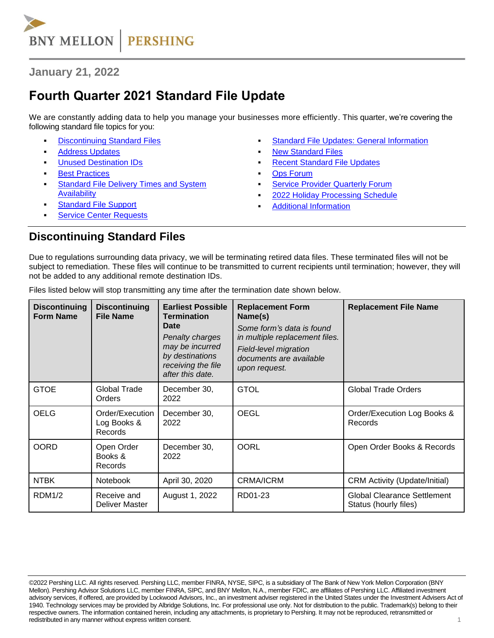

**January 21, 2022**

# **Fourth Quarter 2021 Standard File Update**

We are constantly adding data to help you manage your businesses more efficiently. This quarter, we're covering the following standard file topics for you:

- **[Discontinuing Standard Files](#page-0-0)**
- **[Address Updates](#page-1-0)**
- <span id="page-0-1"></span>**[Unused Destination IDs](#page-0-1)**
- **[Best Practices](#page-1-1)**
- **Standard File Delivery Times and System [Availability](#page-1-2)**
- **[Standard File Support](#page-1-3)**
- **[Service Center Requests](#page-1-4)**
- **[Standard File Updates: General Information](#page-2-0)**
- **[New Standard Files](#page-2-1)**
- **[Recent Standard](#page-2-2) File Updates**
- **Ops [Forum](#page-3-0)**
- **Service Provider [Quarterly](#page-3-1) Forum**
- [2022 Holiday Processing Schedule](#page-3-2)
- **[Additional Information](#page-3-3)**

#### <span id="page-0-0"></span>**Discontinuing Standard Files**

Due to regulations surrounding data privacy, we will be terminating retired data files. These terminated files will not be subject to remediation. These files will continue to be transmitted to current recipients until termination; however, they will not be added to any additional remote destination IDs.

| <b>Discontinuing</b><br><b>Form Name</b> | <b>Discontinuing</b><br><b>File Name</b>  | <b>Earliest Possible</b><br><b>Termination</b><br><b>Date</b><br>Penalty charges<br>may be incurred<br>by destinations<br>receiving the file<br>after this date. | <b>Replacement Form</b><br>Name(s)<br>Some form's data is found<br>in multiple replacement files.<br>Field-level migration<br>documents are available<br>upon request. | <b>Replacement File Name</b>                                |
|------------------------------------------|-------------------------------------------|------------------------------------------------------------------------------------------------------------------------------------------------------------------|------------------------------------------------------------------------------------------------------------------------------------------------------------------------|-------------------------------------------------------------|
| <b>GTOE</b>                              | Global Trade<br>Orders                    | December 30,<br>2022                                                                                                                                             | <b>GTOL</b>                                                                                                                                                            | <b>Global Trade Orders</b>                                  |
| <b>OELG</b>                              | Order/Execution<br>Log Books &<br>Records | December 30,<br>2022                                                                                                                                             | <b>OEGL</b>                                                                                                                                                            | Order/Execution Log Books &<br>Records                      |
| <b>OORD</b>                              | Open Order<br>Books &<br>Records          | December 30,<br>2022                                                                                                                                             | <b>OORL</b>                                                                                                                                                            | Open Order Books & Records                                  |
| <b>NTBK</b>                              | <b>Notebook</b>                           | April 30, 2020                                                                                                                                                   | <b>CRMA/ICRM</b>                                                                                                                                                       | <b>CRM Activity (Update/Initial)</b>                        |
| RDM1/2                                   | Receive and<br>Deliver Master             | August 1, 2022                                                                                                                                                   | RD01-23                                                                                                                                                                | <b>Global Clearance Settlement</b><br>Status (hourly files) |

Files listed below will stop transmitting any time after the termination date shown below.

<sup>©2022</sup> Pershing LLC. All rights reserved. Pershing LLC, member FINRA, NYSE, SIPC, is a subsidiary of The Bank of New York Mellon Corporation (BNY Mellon). Pershing Advisor Solutions LLC, member FINRA, SIPC, and BNY Mellon, N.A., member FDIC, are affiliates of Pershing LLC. Affiliated investment advisory services, if offered, are provided by Lockwood Advisors, Inc., an investment adviser registered in the United States under the Investment Advisers Act of 1940. Technology services may be provided by Albridge Solutions, Inc. For professional use only. Not for distribution to the public. Trademark(s) belong to their respective owners. The information contained herein, including any attachments, is proprietary to Pershing. It may not be reproduced, retransmitted or redistributed in any manner without express written consent. 1 and 2 and 2 and 2 and 2 and 2 and 2 and 2 and 2 and 2 and 2 and 2 and 2 and 2 and 2 and 2 and 2 and 2 and 2 and 2 and 2 and 2 and 2 and 2 and 2 and 2 and 2 and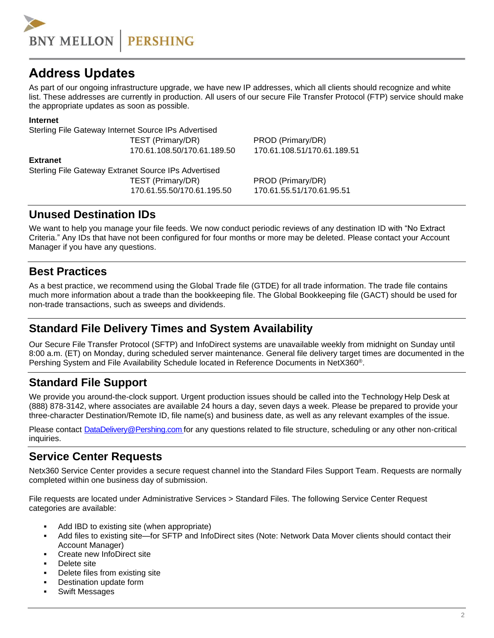

# <span id="page-1-0"></span>**Address Updates**

As part of our ongoing infrastructure upgrade, we have new IP addresses, which all clients should recognize and white list. These addresses are currently in production. All users of our secure File Transfer Protocol (FTP) service should make the appropriate updates as soon as possible.

#### **Internet**

Sterling File Gateway Internet Source IPs Advertised

TEST (Primary/DR) PROD (Primary/DR)

**Extranet**

Sterling File Gateway Extranet Source IPs Advertised TEST (Primary/DR) PROD (Primary/DR) 170.61.55.50/170.61.195.50 170.61.55.51/170.61.95.51

170.61.108.50/170.61.189.50 170.61.108.51/170.61.189.51

#### **Unused Destination IDs**

We want to help you manage your file feeds. We now conduct periodic reviews of any destination ID with "No Extract Criteria." Any IDs that have not been configured for four months or more may be deleted. Please contact your Account Manager if you have any questions.

# <span id="page-1-1"></span>**Best Practices**

As a best practice, we recommend using the Global Trade file (GTDE) for all trade information. The trade file contains much more information about a trade than the bookkeeping file. The Global Bookkeeping file (GACT) should be used for non-trade transactions, such as sweeps and dividends.

# <span id="page-1-2"></span>**Standard File Delivery Times and System Availability**

Our Secure File Transfer Protocol (SFTP) and InfoDirect systems are unavailable weekly from midnight on Sunday until 8:00 a.m. (ET) on Monday, during scheduled server maintenance. General file delivery target times are documented in the Pershing System and File Availability Schedule located in Reference Documents in NetX360®.

# <span id="page-1-3"></span>**Standard File Support**

We provide you around-the-clock support. Urgent production issues should be called into the Technology Help Desk at (888) 878-3142, where associates are available 24 hours a day, seven days a week. Please be prepared to provide your three-character Destination/Remote ID, file name(s) and business date, as well as any relevant examples of the issue.

Please contact [DataDelivery@Pershing.com](mailto:DataDelivery@Pershing.com) for any questions related to file structure, scheduling or any other non-critical inquiries.

# <span id="page-1-4"></span>**Service Center Requests**

Netx360 Service Center provides a secure request channel into the Standard Files Support Team. Requests are normally completed within one business day of submission.

File requests are located under Administrative Services > Standard Files. The following Service Center Request categories are available:

- Add IBD to existing site (when appropriate)
- Add files to existing site—for SFTP and InfoDirect sites (Note: Network Data Mover clients should contact their Account Manager)
- Create new InfoDirect site
- Delete site
- Delete files from existing site
- Destination update form
- **Swift Messages**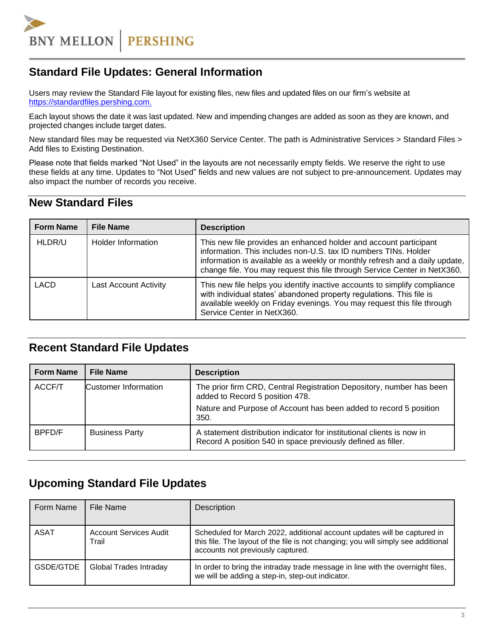

# <span id="page-2-0"></span>**Standard File Updates: General Information**

Users may review the Standard File layout for existing files, new files and updated files on our firm's website at [https://standardfiles.pershing.com.](https://standardfiles.pershing.com/home/-/categories/275237?cat=275237)

Each layout shows the date it was last updated. New and impending changes are added as soon as they are known, and projected changes include target dates.

New standard files may be requested via NetX360 Service Center. The path is Administrative Services > Standard Files > Add files to Existing Destination.

Please note that fields marked "Not Used" in the layouts are not necessarily empty fields. We reserve the right to use these fields at any time. Updates to "Not Used" fields and new values are not subject to pre-announcement. Updates may also impact the number of records you receive.

# <span id="page-2-1"></span>**New Standard Files**

| <b>Form Name</b> | <b>File Name</b>      | <b>Description</b>                                                                                                                                                                                                                                                                               |
|------------------|-----------------------|--------------------------------------------------------------------------------------------------------------------------------------------------------------------------------------------------------------------------------------------------------------------------------------------------|
| HLDR/U           | Holder Information    | This new file provides an enhanced holder and account participant<br>information. This includes non-U.S. tax ID numbers TINs. Holder<br>information is available as a weekly or monthly refresh and a daily update,<br>change file. You may request this file through Service Center in NetX360. |
| <b>LACD</b>      | Last Account Activity | This new file helps you identify inactive accounts to simplify compliance<br>with individual states' abandoned property regulations. This file is<br>available weekly on Friday evenings. You may request this file through<br>Service Center in NetX360.                                        |

#### <span id="page-2-2"></span>**Recent Standard File Updates**

| <b>Form Name</b> | <b>File Name</b>            | <b>Description</b>                                                                                                                     |
|------------------|-----------------------------|----------------------------------------------------------------------------------------------------------------------------------------|
| ACCF/T           | <b>Customer Information</b> | The prior firm CRD, Central Registration Depository, number has been<br>added to Record 5 position 478.                                |
|                  |                             | Nature and Purpose of Account has been added to record 5 position<br>350.                                                              |
| BPFD/F           | <b>Business Party</b>       | A statement distribution indicator for institutional clients is now in<br>Record A position 540 in space previously defined as filler. |

# **Upcoming Standard File Updates**

| Form Name   | File Name                              | Description                                                                                                                                                                                        |
|-------------|----------------------------------------|----------------------------------------------------------------------------------------------------------------------------------------------------------------------------------------------------|
| <b>ASAT</b> | <b>Account Services Audit</b><br>Trail | Scheduled for March 2022, additional account updates will be captured in<br>this file. The layout of the file is not changing; you will simply see additional<br>accounts not previously captured. |
| GSDE/GTDE   | Global Trades Intraday                 | In order to bring the intraday trade message in line with the overnight files,<br>we will be adding a step-in, step-out indicator.                                                                 |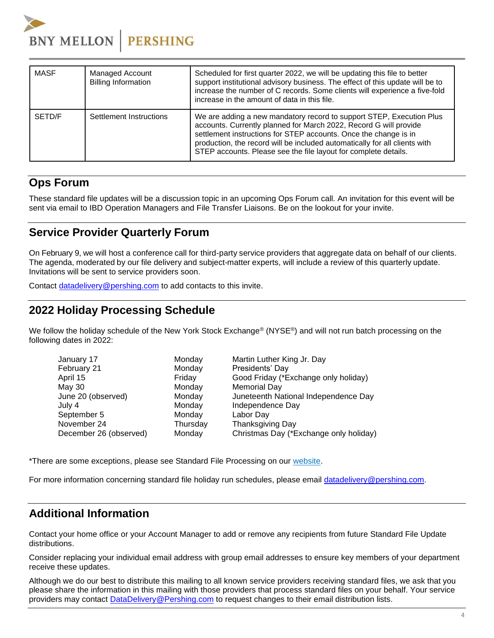

| <b>MASF</b> | <b>Managed Account</b><br><b>Billing Information</b> | Scheduled for first quarter 2022, we will be updating this file to better<br>support institutional advisory business. The effect of this update will be to<br>increase the number of C records. Some clients will experience a five-fold<br>increase in the amount of data in this file.                                                                       |
|-------------|------------------------------------------------------|----------------------------------------------------------------------------------------------------------------------------------------------------------------------------------------------------------------------------------------------------------------------------------------------------------------------------------------------------------------|
| SETD/F      | Settlement Instructions                              | We are adding a new mandatory record to support STEP, Execution Plus<br>accounts. Currently planned for March 2022, Record G will provide<br>settlement instructions for STEP accounts. Once the change is in<br>production, the record will be included automatically for all clients with<br>STEP accounts. Please see the file layout for complete details. |

# <span id="page-3-0"></span>**Ops Forum**

These standard file updates will be a discussion topic in an upcoming Ops Forum call. An invitation for this event will be sent via email to IBD Operation Managers and File Transfer Liaisons. Be on the lookout for your invite.

# <span id="page-3-1"></span>**Service Provider Quarterly Forum**

On February 9, we will host a conference call for third-party service providers that aggregate data on behalf of our clients. The agenda, moderated by our file delivery and subject-matter experts, will include a review of this quarterly update. Invitations will be sent to service providers soon.

Contact [datadelivery@pershing.com](mailto:datadelivery@pershing.com%20or) to add contacts to this invite.

### <span id="page-3-2"></span>**2022 Holiday Processing Schedule**

We follow the holiday schedule of the New York Stock Exchange® (NYSE®) and will not run batch processing on the following dates in 2022:

| January 17             | Monday   | Martin Luther King Jr. Day             |
|------------------------|----------|----------------------------------------|
| February 21            | Monday   | Presidents' Day                        |
| April 15               | Friday   | Good Friday (*Exchange only holiday)   |
| May 30                 | Monday   | <b>Memorial Day</b>                    |
| June 20 (observed)     | Monday   | Juneteenth National Independence Day   |
| July 4                 | Monday   | Independence Day                       |
| September 5            | Monday   | Labor Day                              |
| November 24            | Thursday | Thanksgiving Day                       |
| December 26 (observed) | Monday   | Christmas Day (*Exchange only holiday) |
|                        |          |                                        |

\*There are some exceptions, please see Standard File Processing on our [website.](https://standardfiles.pershing.com/documents/274881/274921/Standard+File+Holiday+Processing+2022.pdf/d6fdb485-7a2f-f93d-2c0a-1ad89a2a963b?download=true)

For more information concerning standard file holiday run schedules, please email [datadelivery@pershing.com.](mailto:datadelivery@pershing.com)

# <span id="page-3-3"></span>**Additional Information**

Contact your home office or your Account Manager to add or remove any recipients from future Standard File Update distributions.

Consider replacing your individual email address with group email addresses to ensure key members of your department receive these updates.

Although we do our best to distribute this mailing to all known service providers receiving standard files, we ask that you please share the information in this mailing with those providers that process standard files on your behalf. Your service providers may contact [DataDelivery@Pershing.com](mailto:DataDelivery@Pershing.com) to request changes to their email distribution lists.